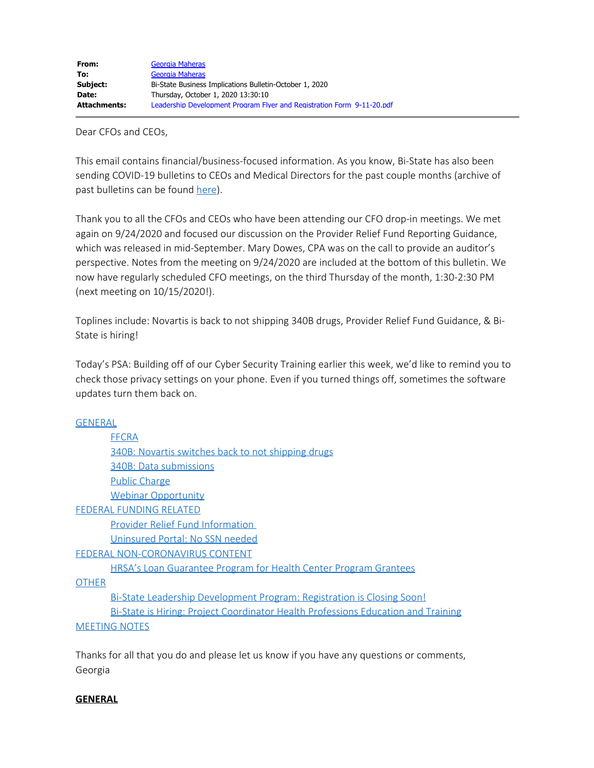Dear CFOs and CEOs,

This email contains financial/business-focused information. As you know, Bi-State has also been sending COVID-19 bulletins to CEOs and Medical Directors for the past couple months (archive of past bulletins can be found [here](https://bistatepca.org/health-center-resources/covid-bulletins-resources/bi-state-covid-19-bulletins)).

Thank you to all the CFOs and CEOs who have been attending our CFO drop-in meetings. We met again on 9/24/2020 and focused our discussion on the Provider Relief Fund Reporting Guidance, which was released in mid-September. Mary Dowes, CPA was on the call to provide an auditor's perspective. Notes from the meeting on 9/24/2020 are included at the bottom of this bulletin. We now have regularly scheduled CFO meetings, on the third Thursday of the month, 1:30-2:30 PM (next meeting on 10/15/2020!).

Toplines include: Novartis is back to not shipping 340B drugs, Provider Relief Fund Guidance, & Bi-State is hiring!

Today's PSA: Building off of our Cyber Security Training earlier this week, we'd like to remind you to check those privacy settings on your phone. Even if you turned things off, sometimes the software updates turn them back on.

#### **[GENERAL](#page-0-0)**

| <b>FFCRA</b>                                                                            |  |
|-----------------------------------------------------------------------------------------|--|
| 340B: Novartis switches back to not shipping drugs                                      |  |
| 340B: Data submissions                                                                  |  |
| <b>Public Charge</b>                                                                    |  |
| <b>Webinar Opportunity</b>                                                              |  |
| <b>FEDERAL FUNDING RELATED</b>                                                          |  |
| <b>Provider Relief Fund Information</b>                                                 |  |
| Uninsured Portal: No SSN needed                                                         |  |
| FEDERAL NON-CORONAVIRUS CONTENT                                                         |  |
| <b>HRSA's Loan Guarantee Program for Health Center Program Grantees</b>                 |  |
| <b>OTHER</b>                                                                            |  |
| Bi-State Leadership Development Program: Registration is Closing Soon!                  |  |
| Bi-State is Hiring: Project Coordinator Health Professions Education and Training       |  |
| <b>MEETING NOTES</b>                                                                    |  |
|                                                                                         |  |
| Thanks for all that you do and please lot us know if you have any questions or semments |  |

Thanks for all that you do and please let us know if you have any questions or comments, Georgia

#### <span id="page-0-0"></span>**GENERAL**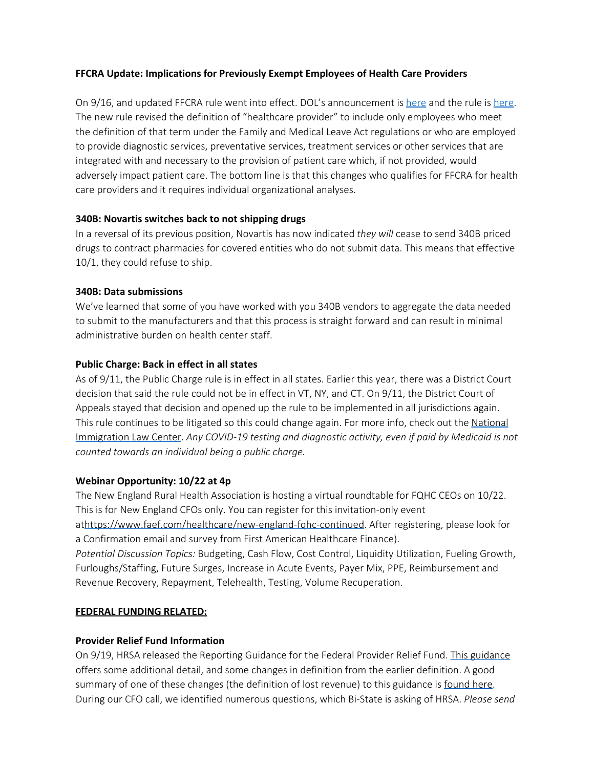## <span id="page-1-0"></span>**FFCRA Update: Implications for Previously Exempt Employees of Health Care Providers**

On 9/16, and updated FFCRA rule went into effect. DOL's announcement is [here](https://www.govinfo.gov/content/pkg/FR-2020-09-16/pdf/2020-20351.pdf) and the rule is here. The new rule revised the definition of "healthcare provider" to include only employees who meet the definition of that term under the Family and Medical Leave Act regulations or who are employed to provide diagnostic services, preventative services, treatment services or other services that are integrated with and necessary to the provision of patient care which, if not provided, would adversely impact patient care. The bottom line is that this changes who qualifies for FFCRA for health care providers and it requires individual organizational analyses.

#### <span id="page-1-1"></span>**340B: Novartis switches back to not shipping drugs**

In a reversal of its previous position, Novartis has now indicated *they will* cease to send 340B priced drugs to contract pharmacies for covered entities who do not submit data. This means that effective 10/1, they could refuse to ship.

## <span id="page-1-2"></span>**340B: Data submissions**

We've learned that some of you have worked with you 340B vendors to aggregate the data needed to submit to the manufacturers and that this process is straight forward and can result in minimal administrative burden on health center staff.

## <span id="page-1-3"></span>**Public Charge: Back in effect in all states**

As of 9/11, the Public Charge rule is in effect in all states. Earlier this year, there was a District Court decision that said the rule could not be in effect in VT, NY, and CT. On 9/11, the District Court of Appeals stayed that decision and opened up the rule to be implemented in all jurisdictions again. This rule continues to be litigated so this could change again. For more info, check out the [National](https://www.nilc.org/2020/08/31/public-charge-five-things-to-know-now/) [Immigration Law Center.](https://www.nilc.org/2020/08/31/public-charge-five-things-to-know-now/) *Any COVID-19 testing and diagnostic activity, even if paid by Medicaid is not counted towards an individual being a public charge.*

#### <span id="page-1-4"></span>**Webinar Opportunity: 10/22 at 4p**

The New England Rural Health Association is hosting a virtual roundtable for FQHC CEOs on 10/22. This is for New England CFOs only. You can register for this invitation-only event a[thttps://www.faef.com/healthcare/new-england-fqhc-continued](http://nerha.memberclicks.net/message2/link/32b07aca-e50b-4193-9167-234f0e75a5aa/2). After registering, please look for a Confirmation email and survey from First American Healthcare Finance). *Potential Discussion Topics:* Budgeting, Cash Flow, Cost Control, Liquidity Utilization, Fueling Growth, Furloughs/Staffing, Future Surges, Increase in Acute Events, Payer Mix, PPE, Reimbursement and Revenue Recovery, Repayment, Telehealth, Testing, Volume Recuperation.

#### <span id="page-1-5"></span>**FEDERAL FUNDING RELATED:**

#### <span id="page-1-6"></span>**Provider Relief Fund Information**

On 9/19, HRSA released the Reporting Guidance for the Federal Provider Relief Fund. [This guidance](https://www.hhs.gov/sites/default/files/post-payment-notice-of-reporting-requirements.pdf) offers some additional detail, and some changes in definition from the earlier definition. A good summary of one of these changes (the definition of lost revenue) to this guidance is [found here.](https://www.hallrender.com/2020/09/22/hhs-publishes-provider-relief-fund-detailed-reporting-guidelines-where-did-lost-revenue-go/) During our CFO call, we identified numerous questions, which Bi-State is asking of HRSA. *Please send*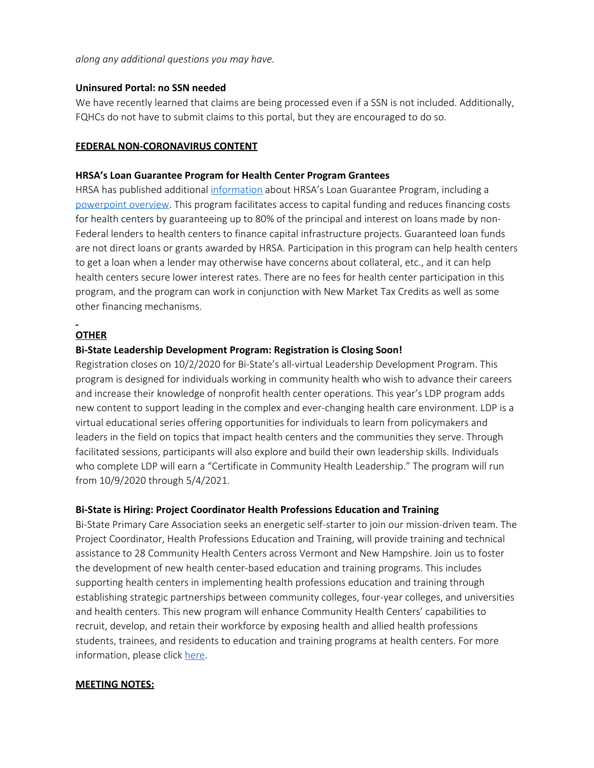*along any additional questions you may have.*

#### <span id="page-2-0"></span>**Uninsured Portal: no SSN needed**

We have recently learned that claims are being processed even if a SSN is not included. Additionally, FQHCs do not have to submit claims to this portal, but they are encouraged to do so.

#### <span id="page-2-1"></span>**FEDERAL NON-CORONAVIRUS CONTENT**

#### <span id="page-2-2"></span>**HRSA's Loan Guarantee Program for Health Center Program Grantees**

HRSA has published additional [information](https://bphc.hrsa.gov/programopportunities/loan-guarantee-program) about HRSA's Loan Guarantee Program, including a [powerpoint overview](https://bphc.hrsa.gov/sites/default/files/bphc/programopportunities/fundingopportunities/hcf-lgp/lgp-overview-presentation.pdf). This program facilitates access to capital funding and reduces financing costs for health centers by guaranteeing up to 80% of the principal and interest on loans made by non-Federal lenders to health centers to finance capital infrastructure projects. Guaranteed loan funds are not direct loans or grants awarded by HRSA. Participation in this program can help health centers to get a loan when a lender may otherwise have concerns about collateral, etc., and it can help health centers secure lower interest rates. There are no fees for health center participation in this program, and the program can work in conjunction with New Market Tax Credits as well as some other financing mechanisms.

## <span id="page-2-3"></span>**OTHER**

#### <span id="page-2-4"></span>**Bi-State Leadership Development Program: Registration is Closing Soon!**

Registration closes on 10/2/2020 for Bi-State's all-virtual Leadership Development Program. This program is designed for individuals working in community health who wish to advance their careers and increase their knowledge of nonprofit health center operations. This year's LDP program adds new content to support leading in the complex and ever-changing health care environment. LDP is a virtual educational series offering opportunities for individuals to learn from policymakers and leaders in the field on topics that impact health centers and the communities they serve. Through facilitated sessions, participants will also explore and build their own leadership skills. Individuals who complete LDP will earn a "Certificate in Community Health Leadership." The program will run from 10/9/2020 through 5/4/2021.

#### <span id="page-2-5"></span>**Bi-State is Hiring: Project Coordinator Health Professions Education and Training**

Bi-State Primary Care Association seeks an energetic self-starter to join our mission-driven team. The Project Coordinator, Health Professions Education and Training, will provide training and technical assistance to 28 Community Health Centers across Vermont and New Hampshire. Join us to foster the development of new health center-based education and training programs. This includes supporting health centers in implementing health professions education and training through establishing strategic partnerships between community colleges, four-year colleges, and universities and health centers. This new program will enhance Community Health Centers' capabilities to recruit, develop, and retain their workforce by exposing health and allied health professions students, trainees, and residents to education and training programs at health centers. For more information, please click [here](https://bistatepca.org/About-Bi-State/bi-state-staff/bi-state-careers).

#### <span id="page-2-6"></span>**MEETING NOTES:**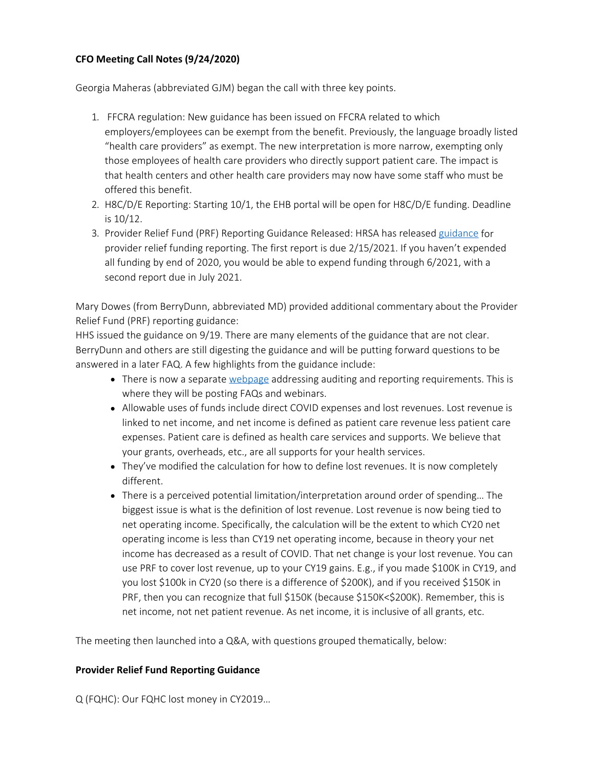# **CFO Meeting Call Notes (9/24/2020)**

Georgia Maheras (abbreviated GJM) began the call with three key points.

- 1. FFCRA regulation: New guidance has been issued on FFCRA related to which employers/employees can be exempt from the benefit. Previously, the language broadly listed "health care providers" as exempt. The new interpretation is more narrow, exempting only those employees of health care providers who directly support patient care. The impact is that health centers and other health care providers may now have some staff who must be offered this benefit.
- 2. H8C/D/E Reporting: Starting 10/1, the EHB portal will be open for H8C/D/E funding. Deadline is 10/12.
- 3. Provider Relief Fund (PRF) Reporting Guidance Released: HRSA has released [guidance](https://www.hhs.gov/sites/default/files/post-payment-notice-of-reporting-requirements.pdf) for provider relief funding reporting. The first report is due 2/15/2021. If you haven't expended all funding by end of 2020, you would be able to expend funding through 6/2021, with a second report due in July 2021.

Mary Dowes (from BerryDunn, abbreviated MD) provided additional commentary about the Provider Relief Fund (PRF) reporting guidance:

HHS issued the guidance on 9/19. There are many elements of the guidance that are not clear. BerryDunn and others are still digesting the guidance and will be putting forward questions to be answered in a later FAQ. A few highlights from the guidance include:

- There is now a separate [webpage](https://www.hhs.gov/coronavirus/cares-act-provider-relief-fund/reporting-auditing/index.html) addressing auditing and reporting requirements. This is where they will be posting FAQs and webinars.
- Allowable uses of funds include direct COVID expenses and lost revenues. Lost revenue is linked to net income, and net income is defined as patient care revenue less patient care expenses. Patient care is defined as health care services and supports. We believe that your grants, overheads, etc., are all supports for your health services.
- They've modified the calculation for how to define lost revenues. It is now completely different.
- There is a perceived potential limitation/interpretation around order of spending… The biggest issue is what is the definition of lost revenue. Lost revenue is now being tied to net operating income. Specifically, the calculation will be the extent to which CY20 net operating income is less than CY19 net operating income, because in theory your net income has decreased as a result of COVID. That net change is your lost revenue. You can use PRF to cover lost revenue, up to your CY19 gains. E.g., if you made \$100K in CY19, and you lost \$100k in CY20 (so there is a difference of \$200K), and if you received \$150K in PRF, then you can recognize that full \$150K (because \$150K<\$200K). Remember, this is net income, not net patient revenue. As net income, it is inclusive of all grants, etc.

The meeting then launched into a Q&A, with questions grouped thematically, below:

## **Provider Relief Fund Reporting Guidance**

Q (FQHC): Our FQHC lost money in CY2019…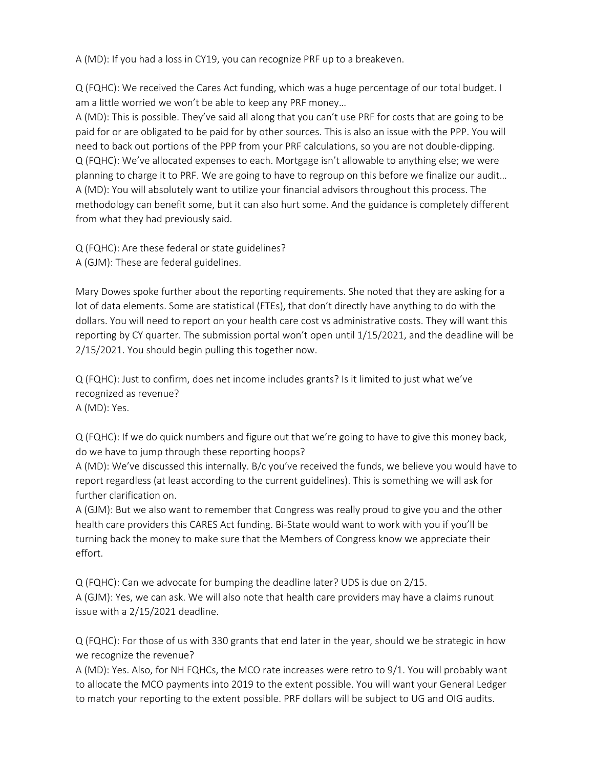A (MD): If you had a loss in CY19, you can recognize PRF up to a breakeven.

Q (FQHC): We received the Cares Act funding, which was a huge percentage of our total budget. I am a little worried we won't be able to keep any PRF money…

A (MD): This is possible. They've said all along that you can't use PRF for costs that are going to be paid for or are obligated to be paid for by other sources. This is also an issue with the PPP. You will need to back out portions of the PPP from your PRF calculations, so you are not double-dipping. Q (FQHC): We've allocated expenses to each. Mortgage isn't allowable to anything else; we were planning to charge it to PRF. We are going to have to regroup on this before we finalize our audit… A (MD): You will absolutely want to utilize your financial advisors throughout this process. The methodology can benefit some, but it can also hurt some. And the guidance is completely different from what they had previously said.

Q (FQHC): Are these federal or state guidelines? A (GJM): These are federal guidelines.

Mary Dowes spoke further about the reporting requirements. She noted that they are asking for a lot of data elements. Some are statistical (FTEs), that don't directly have anything to do with the dollars. You will need to report on your health care cost vs administrative costs. They will want this reporting by CY quarter. The submission portal won't open until 1/15/2021, and the deadline will be 2/15/2021. You should begin pulling this together now.

Q (FQHC): Just to confirm, does net income includes grants? Is it limited to just what we've recognized as revenue? A (MD): Yes.

Q (FQHC): If we do quick numbers and figure out that we're going to have to give this money back, do we have to jump through these reporting hoops?

A (MD): We've discussed this internally. B/c you've received the funds, we believe you would have to report regardless (at least according to the current guidelines). This is something we will ask for further clarification on.

A (GJM): But we also want to remember that Congress was really proud to give you and the other health care providers this CARES Act funding. Bi-State would want to work with you if you'll be turning back the money to make sure that the Members of Congress know we appreciate their effort.

Q (FQHC): Can we advocate for bumping the deadline later? UDS is due on 2/15. A (GJM): Yes, we can ask. We will also note that health care providers may have a claims runout issue with a 2/15/2021 deadline.

Q (FQHC): For those of us with 330 grants that end later in the year, should we be strategic in how we recognize the revenue?

A (MD): Yes. Also, for NH FQHCs, the MCO rate increases were retro to 9/1. You will probably want to allocate the MCO payments into 2019 to the extent possible. You will want your General Ledger to match your reporting to the extent possible. PRF dollars will be subject to UG and OIG audits.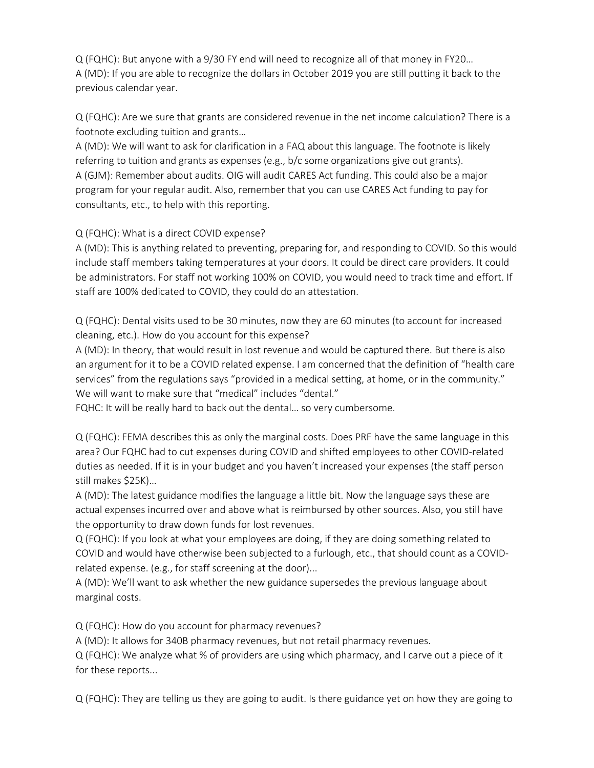Q (FQHC): But anyone with a 9/30 FY end will need to recognize all of that money in FY20… A (MD): If you are able to recognize the dollars in October 2019 you are still putting it back to the previous calendar year.

Q (FQHC): Are we sure that grants are considered revenue in the net income calculation? There is a footnote excluding tuition and grants…

A (MD): We will want to ask for clarification in a FAQ about this language. The footnote is likely referring to tuition and grants as expenses (e.g., b/c some organizations give out grants). A (GJM): Remember about audits. OIG will audit CARES Act funding. This could also be a major program for your regular audit. Also, remember that you can use CARES Act funding to pay for consultants, etc., to help with this reporting.

# Q (FQHC): What is a direct COVID expense?

A (MD): This is anything related to preventing, preparing for, and responding to COVID. So this would include staff members taking temperatures at your doors. It could be direct care providers. It could be administrators. For staff not working 100% on COVID, you would need to track time and effort. If staff are 100% dedicated to COVID, they could do an attestation.

Q (FQHC): Dental visits used to be 30 minutes, now they are 60 minutes (to account for increased cleaning, etc.). How do you account for this expense?

A (MD): In theory, that would result in lost revenue and would be captured there. But there is also an argument for it to be a COVID related expense. I am concerned that the definition of "health care services" from the regulations says "provided in a medical setting, at home, or in the community." We will want to make sure that "medical" includes "dental."

FQHC: It will be really hard to back out the dental… so very cumbersome.

Q (FQHC): FEMA describes this as only the marginal costs. Does PRF have the same language in this area? Our FQHC had to cut expenses during COVID and shifted employees to other COVID-related duties as needed. If it is in your budget and you haven't increased your expenses (the staff person still makes \$25K)…

A (MD): The latest guidance modifies the language a little bit. Now the language says these are actual expenses incurred over and above what is reimbursed by other sources. Also, you still have the opportunity to draw down funds for lost revenues.

Q (FQHC): If you look at what your employees are doing, if they are doing something related to COVID and would have otherwise been subjected to a furlough, etc., that should count as a COVIDrelated expense. (e.g., for staff screening at the door)...

A (MD): We'll want to ask whether the new guidance supersedes the previous language about marginal costs.

Q (FQHC): How do you account for pharmacy revenues?

A (MD): It allows for 340B pharmacy revenues, but not retail pharmacy revenues.

Q (FQHC): We analyze what % of providers are using which pharmacy, and I carve out a piece of it for these reports...

Q (FQHC): They are telling us they are going to audit. Is there guidance yet on how they are going to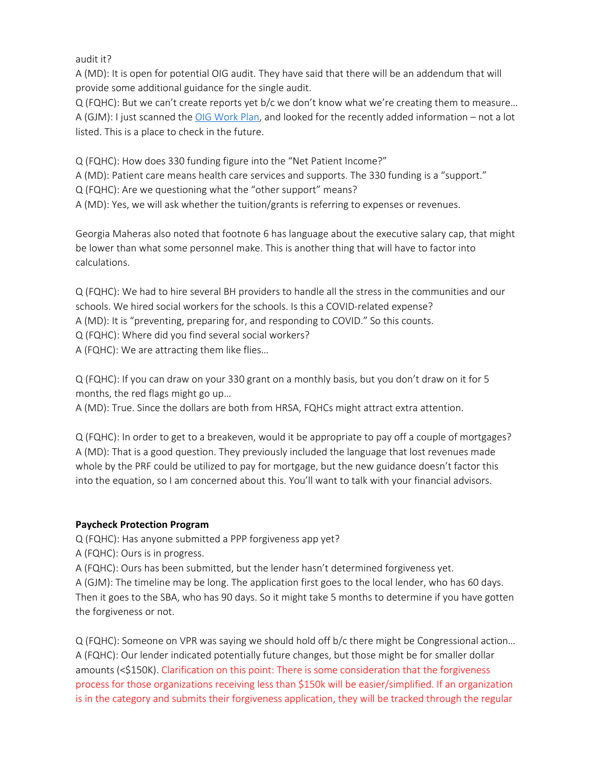audit it?

A (MD): It is open for potential OIG audit. They have said that there will be an addendum that will provide some additional guidance for the single audit.

Q (FQHC): But we can't create reports yet b/c we don't know what we're creating them to measure… A (GJM): I just scanned the *OIG Work Plan*, and looked for the recently added information – not a lot listed. This is a place to check in the future.

Q (FQHC): How does 330 funding figure into the "Net Patient Income?"

A (MD): Patient care means health care services and supports. The 330 funding is a "support."

Q (FQHC): Are we questioning what the "other support" means?

A (MD): Yes, we will ask whether the tuition/grants is referring to expenses or revenues.

Georgia Maheras also noted that footnote 6 has language about the executive salary cap, that might be lower than what some personnel make. This is another thing that will have to factor into calculations.

Q (FQHC): We had to hire several BH providers to handle all the stress in the communities and our schools. We hired social workers for the schools. Is this a COVID-related expense? A (MD): It is "preventing, preparing for, and responding to COVID." So this counts. Q (FQHC): Where did you find several social workers? A (FQHC): We are attracting them like flies…

Q (FQHC): If you can draw on your 330 grant on a monthly basis, but you don't draw on it for 5 months, the red flags might go up…

A (MD): True. Since the dollars are both from HRSA, FQHCs might attract extra attention.

Q (FQHC): In order to get to a breakeven, would it be appropriate to pay off a couple of mortgages? A (MD): That is a good question. They previously included the language that lost revenues made whole by the PRF could be utilized to pay for mortgage, but the new guidance doesn't factor this into the equation, so I am concerned about this. You'll want to talk with your financial advisors.

# **Paycheck Protection Program**

Q (FQHC): Has anyone submitted a PPP forgiveness app yet?

A (FQHC): Ours is in progress.

A (FQHC): Ours has been submitted, but the lender hasn't determined forgiveness yet.

A (GJM): The timeline may be long. The application first goes to the local lender, who has 60 days. Then it goes to the SBA, who has 90 days. So it might take 5 months to determine if you have gotten the forgiveness or not.

Q (FQHC): Someone on VPR was saying we should hold off b/c there might be Congressional action… A (FQHC): Our lender indicated potentially future changes, but those might be for smaller dollar amounts (<\$150K). Clarification on this point: There is some consideration that the forgiveness process for those organizations receiving less than \$150k will be easier/simplified. If an organization is in the category and submits their forgiveness application, they will be tracked through the regular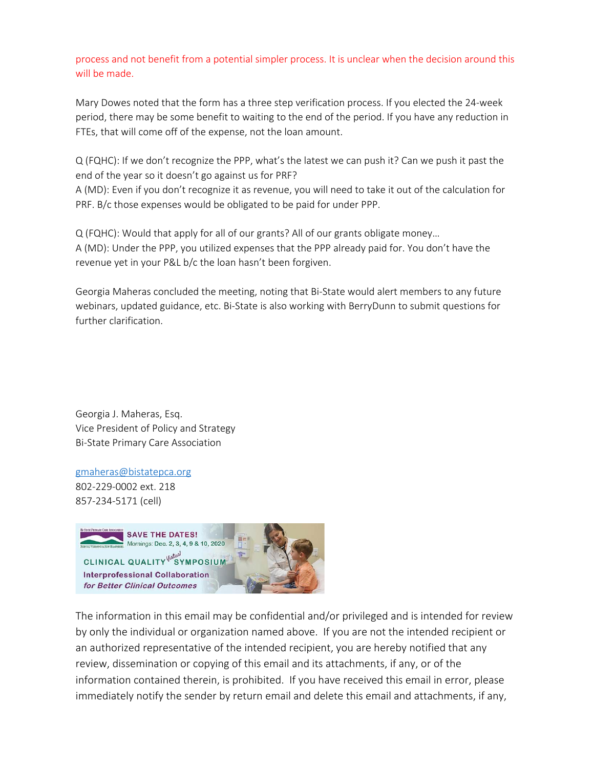process and not benefit from a potential simpler process. It is unclear when the decision around this will be made.

Mary Dowes noted that the form has a three step verification process. If you elected the 24-week period, there may be some benefit to waiting to the end of the period. If you have any reduction in FTEs, that will come off of the expense, not the loan amount.

Q (FQHC): If we don't recognize the PPP, what's the latest we can push it? Can we push it past the end of the year so it doesn't go against us for PRF?

A (MD): Even if you don't recognize it as revenue, you will need to take it out of the calculation for PRF. B/c those expenses would be obligated to be paid for under PPP.

Q (FQHC): Would that apply for all of our grants? All of our grants obligate money… A (MD): Under the PPP, you utilized expenses that the PPP already paid for. You don't have the revenue yet in your P&L b/c the loan hasn't been forgiven.

Georgia Maheras concluded the meeting, noting that Bi-State would alert members to any future webinars, updated guidance, etc. Bi-State is also working with BerryDunn to submit questions for further clarification.

Georgia J. Maheras, Esq. Vice President of Policy and Strategy Bi-State Primary Care Association

[gmaheras@bistatepca.org](mailto:gmaheras@bistatepca.org) 802-229-0002 ext. 218 857-234-5171 (cell)



The information in this email may be confidential and/or privileged and is intended for review by only the individual or organization named above. If you are not the intended recipient or an authorized representative of the intended recipient, you are hereby notified that any review, dissemination or copying of this email and its attachments, if any, or of the information contained therein, is prohibited. If you have received this email in error, please immediately notify the sender by return email and delete this email and attachments, if any,